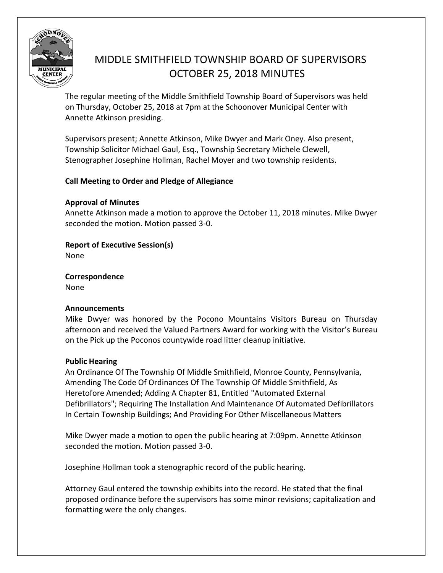

# MIDDLE SMITHFIELD TOWNSHIP BOARD OF SUPERVISORS OCTOBER 25, 2018 MINUTES

The regular meeting of the Middle Smithfield Township Board of Supervisors was held on Thursday, October 25, 2018 at 7pm at the Schoonover Municipal Center with Annette Atkinson presiding.

Supervisors present; Annette Atkinson, Mike Dwyer and Mark Oney. Also present, Township Solicitor Michael Gaul, Esq., Township Secretary Michele Clewell, Stenographer Josephine Hollman, Rachel Moyer and two township residents.

# **Call Meeting to Order and Pledge of Allegiance**

# **Approval of Minutes**

Annette Atkinson made a motion to approve the October 11, 2018 minutes. Mike Dwyer seconded the motion. Motion passed 3-0.

# **Report of Executive Session(s)**

None

**Correspondence**  None

## **Announcements**

Mike Dwyer was honored by the Pocono Mountains Visitors Bureau on Thursday afternoon and received the Valued Partners Award for working with the Visitor's Bureau on the Pick up the Poconos countywide road litter cleanup initiative.

## **Public Hearing**

An Ordinance Of The Township Of Middle Smithfield, Monroe County, Pennsylvania, Amending The Code Of Ordinances Of The Township Of Middle Smithfield, As Heretofore Amended; Adding A Chapter 81, Entitled "Automated External Defibrillators"; Requiring The Installation And Maintenance Of Automated Defibrillators In Certain Township Buildings; And Providing For Other Miscellaneous Matters

Mike Dwyer made a motion to open the public hearing at 7:09pm. Annette Atkinson seconded the motion. Motion passed 3-0.

Josephine Hollman took a stenographic record of the public hearing.

Attorney Gaul entered the township exhibits into the record. He stated that the final proposed ordinance before the supervisors has some minor revisions; capitalization and formatting were the only changes.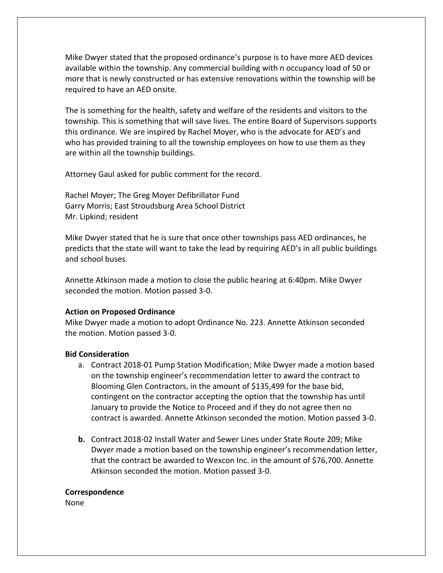Mike Dwyer stated that the proposed ordinance's purpose is to have more AED devices available within the township. Any commercial building with n occupancy load of 50 or more that is newly constructed or has extensive renovations within the township will be required to have an AED onsite.

The is something for the health, safety and welfare of the residents and visitors to the township. This is something that will save lives. The entire Board of Supervisors supports this ordinance. We are inspired by Rachel Moyer, who is the advocate for AED's and who has provided training to all the township employees on how to use them as they are within all the township buildings.

Attorney Gaul asked for public comment for the record.

Rachel Moyer; The Greg Moyer Defibrillator Fund Garry Morris; East Stroudsburg Area School District Mr. Lipkind; resident

Mike Dwyer stated that he is sure that once other townships pass AED ordinances, he predicts that the state will want to take the lead by requiring AED's in all public buildings and school buses.

Annette Atkinson made a motion to close the public hearing at 6:40pm. Mike Dwyer seconded the motion. Motion passed 3-0.

#### **Action on Proposed Ordinance**

Mike Dwyer made a motion to adopt Ordinance No. 223. Annette Atkinson seconded the motion. Motion passed 3-0.

#### **Bid Consideration**

- a. Contract 2018-01 Pump Station Modification; Mike Dwyer made a motion based on the township engineer's recommendation letter to award the contract to Blooming Glen Contractors, in the amount of \$135,499 for the base bid, contingent on the contractor accepting the option that the township has until January to provide the Notice to Proceed and if they do not agree then no contract is awarded. Annette Atkinson seconded the motion. Motion passed 3-0.
- **b.** Contract 2018-02 Install Water and Sewer Lines under State Route 209; Mike Dwyer made a motion based on the township engineer's recommendation letter, that the contract be awarded to Wexcon Inc. in the amount of \$76,700. Annette Atkinson seconded the motion. Motion passed 3-0.

#### **Correspondence**

None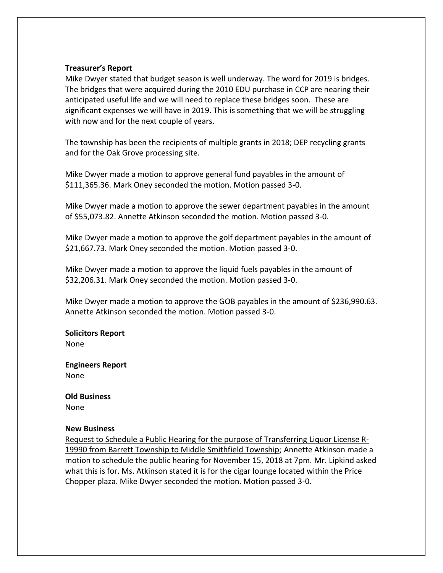#### **Treasurer's Report**

Mike Dwyer stated that budget season is well underway. The word for 2019 is bridges. The bridges that were acquired during the 2010 EDU purchase in CCP are nearing their anticipated useful life and we will need to replace these bridges soon. These are significant expenses we will have in 2019. This is something that we will be struggling with now and for the next couple of years.

The township has been the recipients of multiple grants in 2018; DEP recycling grants and for the Oak Grove processing site.

Mike Dwyer made a motion to approve general fund payables in the amount of \$111,365.36. Mark Oney seconded the motion. Motion passed 3-0.

Mike Dwyer made a motion to approve the sewer department payables in the amount of \$55,073.82. Annette Atkinson seconded the motion. Motion passed 3-0.

Mike Dwyer made a motion to approve the golf department payables in the amount of \$21,667.73. Mark Oney seconded the motion. Motion passed 3-0.

Mike Dwyer made a motion to approve the liquid fuels payables in the amount of \$32,206.31. Mark Oney seconded the motion. Motion passed 3-0.

Mike Dwyer made a motion to approve the GOB payables in the amount of \$236,990.63. Annette Atkinson seconded the motion. Motion passed 3-0.

**Solicitors Report** None

**Engineers Report**  None

**Old Business** None

#### **New Business**

Request to Schedule a Public Hearing for the purpose of Transferring Liquor License R-19990 from Barrett Township to Middle Smithfield Township; Annette Atkinson made a motion to schedule the public hearing for November 15, 2018 at 7pm. Mr. Lipkind asked what this is for. Ms. Atkinson stated it is for the cigar lounge located within the Price Chopper plaza. Mike Dwyer seconded the motion. Motion passed 3-0.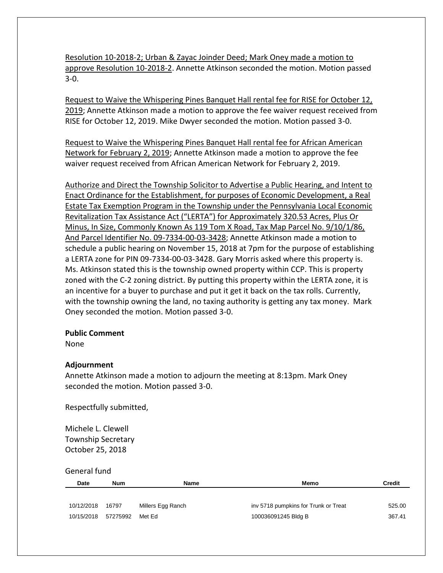Resolution 10-2018-2; Urban & Zayac Joinder Deed; Mark Oney made a motion to approve Resolution 10-2018-2. Annette Atkinson seconded the motion. Motion passed 3-0.

Request to Waive the Whispering Pines Banquet Hall rental fee for RISE for October 12, 2019; Annette Atkinson made a motion to approve the fee waiver request received from RISE for October 12, 2019. Mike Dwyer seconded the motion. Motion passed 3-0.

Request to Waive the Whispering Pines Banquet Hall rental fee for African American Network for February 2, 2019; Annette Atkinson made a motion to approve the fee waiver request received from African American Network for February 2, 2019.

Authorize and Direct the Township Solicitor to Advertise a Public Hearing, and Intent to Enact Ordinance for the Establishment, for purposes of Economic Development, a Real Estate Tax Exemption Program in the Township under the Pennsylvania Local Economic Revitalization Tax Assistance Act ("LERTA") for Approximately 320.53 Acres, Plus Or Minus, In Size, Commonly Known As 119 Tom X Road, Tax Map Parcel No. 9/10/1/86, And Parcel Identifier No. 09-7334-00-03-3428; Annette Atkinson made a motion to schedule a public hearing on November 15, 2018 at 7pm for the purpose of establishing a LERTA zone for PIN 09-7334-00-03-3428. Gary Morris asked where this property is. Ms. Atkinson stated this is the township owned property within CCP. This is property zoned with the C-2 zoning district. By putting this property within the LERTA zone, it is an incentive for a buyer to purchase and put it get it back on the tax rolls. Currently, with the township owning the land, no taxing authority is getting any tax money. Mark Oney seconded the motion. Motion passed 3-0.

## **Public Comment**

None

## **Adjournment**

Annette Atkinson made a motion to adjourn the meeting at 8:13pm. Mark Oney seconded the motion. Motion passed 3-0.

Respectfully submitted,

Michele L. Clewell Township Secretary October 25, 2018

General fund

| Date       | Num      | <b>Name</b>       | Memo                                 | Credit |
|------------|----------|-------------------|--------------------------------------|--------|
|            |          |                   |                                      |        |
| 10/12/2018 | 16797    | Millers Egg Ranch | inv 5718 pumpkins for Trunk or Treat | 525.00 |
| 10/15/2018 | 57275992 | Met Fd            | 100036091245 Bldg B                  | 367.41 |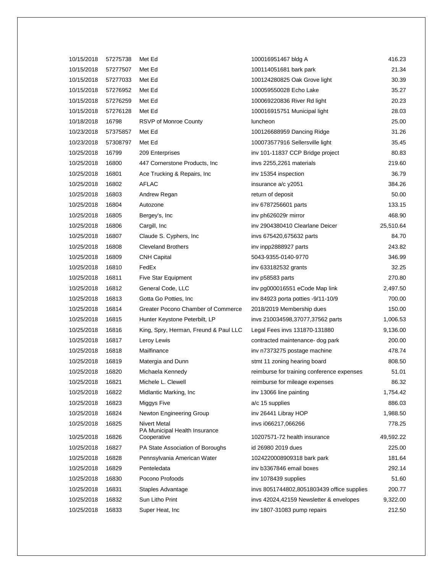| 10/15/2018 | 57275738 | Met Ed                                       | 100016951467 bldg A                        | 416.23    |
|------------|----------|----------------------------------------------|--------------------------------------------|-----------|
| 10/15/2018 | 57277507 | Met Ed                                       | 100114051681 bark park                     | 21.34     |
| 10/15/2018 | 57277033 | Met Ed                                       | 100124280825 Oak Grove light               | 30.39     |
| 10/15/2018 | 57276952 | Met Ed                                       | 100059550028 Echo Lake                     | 35.27     |
| 10/15/2018 | 57276259 | Met Ed                                       | 100069220836 River Rd light                | 20.23     |
| 10/15/2018 | 57276128 | Met Ed                                       | 100016915751 Municipal light               | 28.03     |
| 10/18/2018 | 16798    | RSVP of Monroe County                        | luncheon                                   | 25.00     |
| 10/23/2018 | 57375857 | Met Ed                                       | 100126688959 Dancing Ridge                 | 31.26     |
| 10/23/2018 | 57308797 | Met Ed                                       | 100073577916 Sellersville light            | 35.45     |
| 10/25/2018 | 16799    | 209 Enterprises                              | inv 101-11837 CCP Bridge project           | 80.83     |
| 10/25/2018 | 16800    | 447 Cornerstone Products, Inc.               | invs 2255,2261 materials                   | 219.60    |
| 10/25/2018 | 16801    | Ace Trucking & Repairs, Inc                  | inv 15354 inspection                       | 36.79     |
| 10/25/2018 | 16802    | AFLAC                                        | insurance a/c y2051                        | 384.26    |
| 10/25/2018 | 16803    | Andrew Regan                                 | return of deposit                          | 50.00     |
| 10/25/2018 | 16804    | Autozone                                     | inv 6787256601 parts                       | 133.15    |
| 10/25/2018 | 16805    | Bergey's, Inc                                | inv ph626029r mirror                       | 468.90    |
| 10/25/2018 | 16806    | Cargill, Inc.                                | inv 2904380410 Clearlane Deicer            | 25,510.64 |
| 10/25/2018 | 16807    | Claude S. Cyphers, Inc.                      | invs 675420,675632 parts                   | 84.70     |
| 10/25/2018 | 16808    | <b>Cleveland Brothers</b>                    | inv inpp2888927 parts                      | 243.82    |
| 10/25/2018 | 16809    | <b>CNH Capital</b>                           | 5043-9355-0140-9770                        | 346.99    |
| 10/25/2018 | 16810    | FedEx                                        | inv 633182532 grants                       | 32.25     |
| 10/25/2018 | 16811    | Five Star Equipment                          | inv p58583 parts                           | 270.80    |
| 10/25/2018 | 16812    | General Code, LLC                            | inv pg000016551 eCode Map link             | 2,497.50  |
| 10/25/2018 | 16813    | Gotta Go Potties, Inc.                       | inv 84923 porta potties -9/11-10/9         | 700.00    |
| 10/25/2018 | 16814    | Greater Pocono Chamber of Commerce           | 2018/2019 Membership dues                  | 150.00    |
| 10/25/2018 | 16815    | Hunter Keystone Peterbilt, LP                | invs 210034598,37077,37562 parts           | 1,006.53  |
| 10/25/2018 | 16816    | King, Spry, Herman, Freund & Paul LLC        | Legal Fees invs 131870-131880              | 9,136.00  |
| 10/25/2018 | 16817    | Leroy Lewis                                  | contracted maintenance-dog park            | 200.00    |
| 10/25/2018 | 16818    | Mailfinance                                  | inv n7373275 postage machine               | 478.74    |
| 10/25/2018 | 16819    | Matergia and Dunn                            | stmt 11 zoning hearing board               | 808.50    |
| 10/25/2018 | 16820    | Michaela Kennedy                             | reimburse for training conference expenses | 51.01     |
| 10/25/2018 | 16821    | Michele L. Clewell                           | reimburse for mileage expenses             | 86.32     |
| 10/25/2018 | 16822    | Midlantic Marking, Inc.                      | inv 13066 line painting                    | 1,754.42  |
| 10/25/2018 | 16823    | Miggys Five                                  | a/c 15 supplies                            | 886.03    |
| 10/25/2018 | 16824    | Newton Engineering Group                     | inv 26441 Libray HOP                       | 1,988.50  |
| 10/25/2018 | 16825    | Nivert Metal                                 | invs i066217,066266                        | 778.25    |
| 10/25/2018 | 16826    | PA Municipal Health Insurance<br>Cooperative | 10207571-72 health insurance               | 49,592.22 |
| 10/25/2018 | 16827    | PA State Association of Boroughs             | id 26980 2019 dues                         | 225.00    |
| 10/25/2018 | 16828    | Pennsylvania American Water                  | 1024220008909318 bark park                 | 181.64    |
| 10/25/2018 | 16829    | Penteledata                                  | inv b3367846 email boxes                   | 292.14    |
| 10/25/2018 | 16830    | Pocono Profoods                              | inv 1078439 supplies                       | 51.60     |
| 10/25/2018 | 16831    | Staples Advantage                            | invs 8051744802,8051803439 office supplies | 200.77    |
| 10/25/2018 | 16832    | Sun Litho Print                              | invs 42024,42159 Newsletter & envelopes    | 9,322.00  |
| 10/25/2018 | 16833    | Super Heat, Inc.                             | inv 1807-31083 pump repairs                | 212.50    |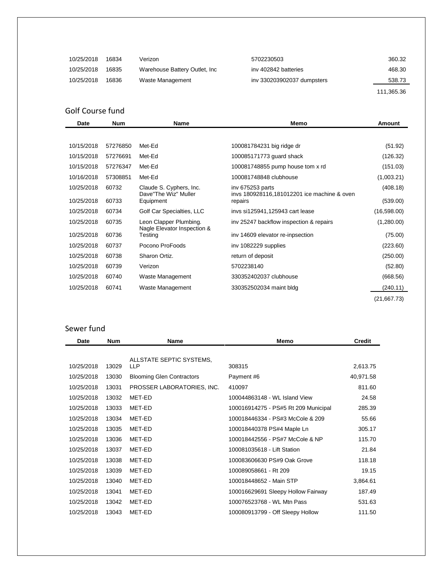| 10/25/2018 | 16834 | Verizon                        | 5702230503                 | 360.32     |
|------------|-------|--------------------------------|----------------------------|------------|
| 10/25/2018 | 16835 | Warehouse Battery Outlet, Inc. | iny 402842 batteries       | 468.30     |
| 10/25/2018 | 16836 | Waste Management               | inv 330203902037 dumpsters | 538.73     |
|            |       |                                |                            | 111,365.36 |

# Golf Course fund

| <b>Date</b> | <b>Num</b> | <b>Name</b>                            | Memo                                                   | Amount      |
|-------------|------------|----------------------------------------|--------------------------------------------------------|-------------|
|             |            |                                        |                                                        |             |
| 10/15/2018  | 57276850   | Met-Ed                                 | 100081784231 big ridge dr                              | (51.92)     |
| 10/15/2018  | 57276691   | Met-Ed                                 | 100085171773 guard shack                               | (126.32)    |
| 10/15/2018  | 57276347   | Met-Ed                                 | 100081748855 pump house tom x rd                       | (151.03)    |
| 10/16/2018  | 57308851   | Met-Ed                                 | 100081748848 clubhouse                                 | (1,003.21)  |
| 10/25/2018  | 60732      | Claude S. Cyphers, Inc.                | inv 675253 parts                                       | (408.18)    |
| 10/25/2018  | 60733      | Dave"The Wiz" Muller<br>Equipment      | invs 180928116,181012201 ice machine & oven<br>repairs | (539.00)    |
| 10/25/2018  | 60734      | Golf Car Specialties, LLC              | invs si125941,125943 cart lease                        | (16,598.00) |
| 10/25/2018  | 60735      | Leon Clapper Plumbing.                 | inv 25247 backflow inspection & repairs                | (1,280.00)  |
| 10/25/2018  | 60736      | Nagle Elevator Inspection &<br>Testing | inv 14609 elevator re-inpsection                       | (75.00)     |
| 10/25/2018  | 60737      | Pocono ProFoods                        | inv 1082229 supplies                                   | (223.60)    |
| 10/25/2018  | 60738      | Sharon Ortiz.                          | return of deposit                                      | (250.00)    |
| 10/25/2018  | 60739      | Verizon                                | 5702238140                                             | (52.80)     |
| 10/25/2018  | 60740      | Waste Management                       | 330352402037 clubhouse                                 | (668.56)    |
| 10/25/2018  | 60741      | Waste Management                       | 330352502034 maint bldg                                | (240.11)    |
|             |            |                                        |                                                        | (21,667.73) |

# Sewer fund

| Date       | <b>Num</b> | Name                                   | Memo                                 | <b>Credit</b> |
|------------|------------|----------------------------------------|--------------------------------------|---------------|
|            |            |                                        |                                      |               |
| 10/25/2018 | 13029      | ALLSTATE SEPTIC SYSTEMS.<br><b>LLP</b> | 308315                               |               |
|            |            |                                        |                                      | 2,613.75      |
| 10/25/2018 | 13030      | <b>Blooming Glen Contractors</b>       | Payment #6                           | 40,971.58     |
| 10/25/2018 | 13031      | PROSSER LABORATORIES, INC.             | 410097                               | 811.60        |
| 10/25/2018 | 13032      | MET-ED                                 | 100044863148 - WL Island View        | 24.58         |
| 10/25/2018 | 13033      | MET-ED                                 | 100016914275 - PS#5 Rt 209 Municipal | 285.39        |
| 10/25/2018 | 13034      | MET-ED                                 | 100018446334 - PS#3 McCole & 209     | 55.66         |
| 10/25/2018 | 13035      | MET-ED                                 | 100018440378 PS#4 Maple Ln           | 305.17        |
| 10/25/2018 | 13036      | MET-ED                                 | 100018442556 - PS#7 McCole & NP      | 115.70        |
| 10/25/2018 | 13037      | MET-ED                                 | 100081035618 - Lift Station          | 21.84         |
| 10/25/2018 | 13038      | MET-ED                                 | 100083606630 PS#9 Oak Grove          | 118.18        |
| 10/25/2018 | 13039      | MET-ED                                 | 100089058661 - Rt 209                | 19.15         |
| 10/25/2018 | 13040      | MET-ED                                 | 100018448652 - Main STP              | 3,864.61      |
| 10/25/2018 | 13041      | MET-ED                                 | 100016629691 Sleepy Hollow Fairway   | 187.49        |
| 10/25/2018 | 13042      | MET-ED                                 | 100076523768 - WL Mtn Pass           | 531.63        |
| 10/25/2018 | 13043      | MET-ED                                 | 100080913799 - Off Sleepy Hollow     | 111.50        |